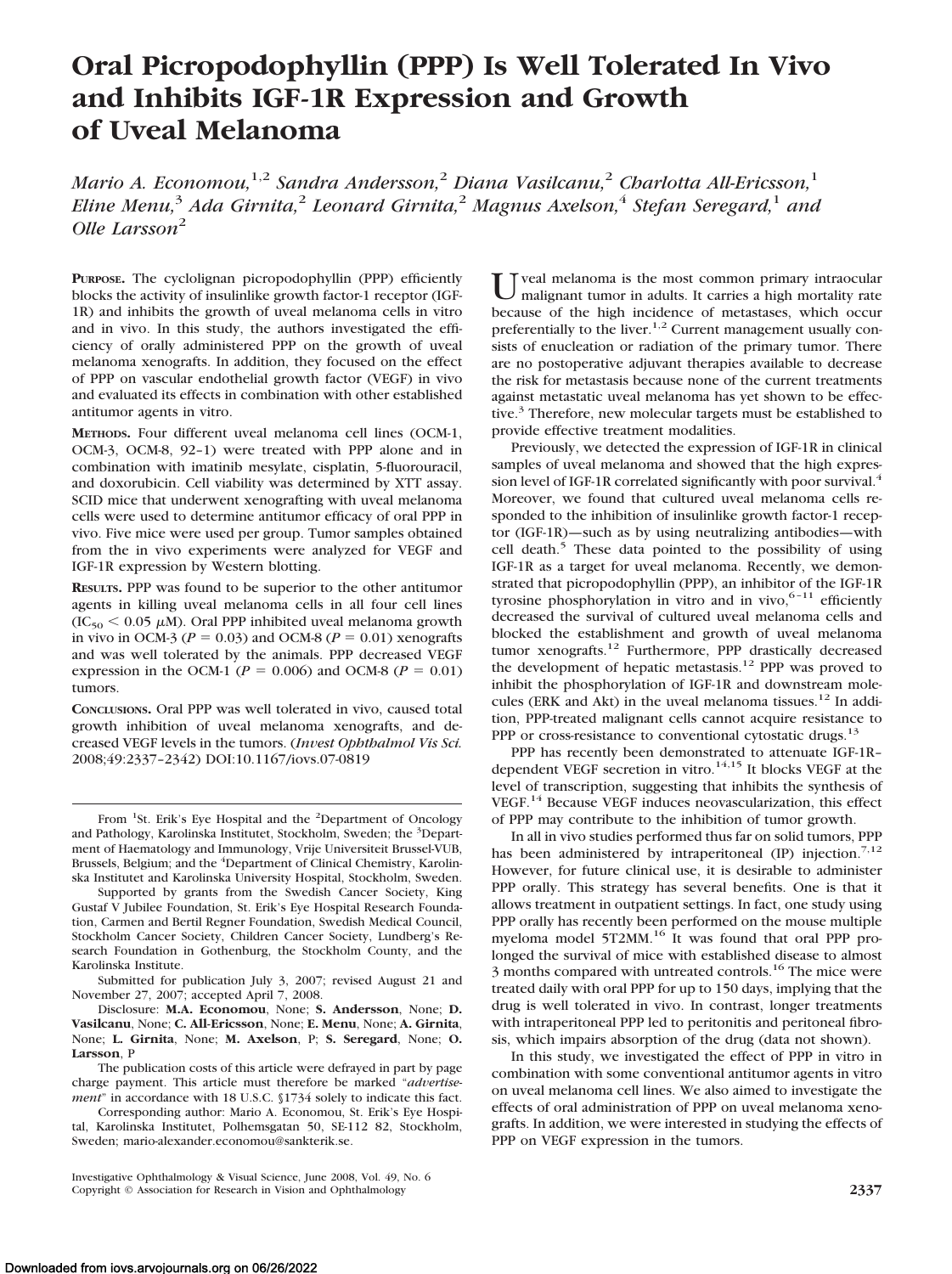# **Oral Picropodophyllin (PPP) Is Well Tolerated In Vivo and Inhibits IGF-1R Expression and Growth of Uveal Melanoma**

*Mario A. Economou,*1,2 *Sandra Andersson,*<sup>2</sup> *Diana Vasilcanu,*<sup>2</sup> *Charlotta All-Ericsson,*<sup>1</sup> *Eline Menu,*<sup>3</sup> *Ada Girnita,*<sup>2</sup> *Leonard Girnita,*<sup>2</sup> *Magnus Axelson,*<sup>4</sup> *Stefan Seregard,*<sup>1</sup> *and Olle Larsson*<sup>2</sup>

PURPOSE. The cyclolignan picropodophyllin (PPP) efficiently blocks the activity of insulinlike growth factor-1 receptor (IGF-1R) and inhibits the growth of uveal melanoma cells in vitro and in vivo. In this study, the authors investigated the efficiency of orally administered PPP on the growth of uveal melanoma xenografts. In addition, they focused on the effect of PPP on vascular endothelial growth factor (VEGF) in vivo and evaluated its effects in combination with other established antitumor agents in vitro.

**METHODS.** Four different uveal melanoma cell lines (OCM-1, OCM-3, OCM-8, 92–1) were treated with PPP alone and in combination with imatinib mesylate, cisplatin, 5-fluorouracil, and doxorubicin. Cell viability was determined by XTT assay. SCID mice that underwent xenografting with uveal melanoma cells were used to determine antitumor efficacy of oral PPP in vivo. Five mice were used per group. Tumor samples obtained from the in vivo experiments were analyzed for VEGF and IGF-1R expression by Western blotting.

**RESULTS.** PPP was found to be superior to the other antitumor agents in killing uveal melanoma cells in all four cell lines  $(IC_{50} < 0.05 \mu M)$ . Oral PPP inhibited uveal melanoma growth in vivo in OCM-3 ( $P = 0.03$ ) and OCM-8 ( $P = 0.01$ ) xenografts and was well tolerated by the animals. PPP decreased VEGF expression in the OCM-1 ( $P = 0.006$ ) and OCM-8 ( $P = 0.01$ ) tumors.

**CONCLUSIONS.** Oral PPP was well tolerated in vivo, caused total growth inhibition of uveal melanoma xenografts, and decreased VEGF levels in the tumors. (*Invest Ophthalmol Vis Sci.* 2008;49:2337–2342) DOI:10.1167/iovs.07-0819

U veal melanoma is the most common primary intraocular malignant tumor in adults. It carries a high mortality rate because of the high incidence of metastases, which occur preferentially to the liver.<sup>1,2</sup> Current management usually consists of enucleation or radiation of the primary tumor. There are no postoperative adjuvant therapies available to decrease the risk for metastasis because none of the current treatments against metastatic uveal melanoma has yet shown to be effective.<sup>3</sup> Therefore, new molecular targets must be established to provide effective treatment modalities.

Previously, we detected the expression of IGF-1R in clinical samples of uveal melanoma and showed that the high expression level of IGF-1R correlated significantly with poor survival.<sup>4</sup> Moreover, we found that cultured uveal melanoma cells responded to the inhibition of insulinlike growth factor-1 receptor (IGF-1R)—such as by using neutralizing antibodies—with cell death.<sup>5</sup> These data pointed to the possibility of using IGF-1R as a target for uveal melanoma. Recently, we demonstrated that picropodophyllin (PPP), an inhibitor of the IGF-1R tyrosine phosphorylation in vitro and in vivo,  $6-11$  efficiently decreased the survival of cultured uveal melanoma cells and blocked the establishment and growth of uveal melanoma tumor xenografts.<sup>12</sup> Furthermore, PPP drastically decreased the development of hepatic metastasis.<sup>12</sup> PPP was proved to inhibit the phosphorylation of IGF-1R and downstream molecules (ERK and Akt) in the uveal melanoma tissues.<sup>12</sup> In addition, PPP-treated malignant cells cannot acquire resistance to PPP or cross-resistance to conventional cytostatic drugs.<sup>13</sup>

PPP has recently been demonstrated to attenuate IGF-1R– dependent VEGF secretion in vitro.<sup>14,15</sup> It blocks VEGF at the level of transcription, suggesting that inhibits the synthesis of VEGF.14 Because VEGF induces neovascularization, this effect of PPP may contribute to the inhibition of tumor growth.

In all in vivo studies performed thus far on solid tumors, PPP has been administered by intraperitoneal (IP) injection.<sup>7,12</sup> However, for future clinical use, it is desirable to administer PPP orally. This strategy has several benefits. One is that it allows treatment in outpatient settings. In fact, one study using PPP orally has recently been performed on the mouse multiple myeloma model 5T2MM.16 It was found that oral PPP prolonged the survival of mice with established disease to almost 3 months compared with untreated controls.<sup>16</sup> The mice were treated daily with oral PPP for up to 150 days, implying that the drug is well tolerated in vivo. In contrast, longer treatments with intraperitoneal PPP led to peritonitis and peritoneal fibrosis, which impairs absorption of the drug (data not shown).

In this study, we investigated the effect of PPP in vitro in combination with some conventional antitumor agents in vitro on uveal melanoma cell lines. We also aimed to investigate the effects of oral administration of PPP on uveal melanoma xenografts. In addition, we were interested in studying the effects of PPP on VEGF expression in the tumors.

From <sup>1</sup>St. Erik's Eye Hospital and the <sup>2</sup>Department of Oncology and Pathology, Karolinska Institutet, Stockholm, Sweden; the <sup>3</sup>Department of Haematology and Immunology, Vrije Universiteit Brussel-VUB, Brussels, Belgium; and the <sup>4</sup>Department of Clinical Chemistry, Karolinska Institutet and Karolinska University Hospital, Stockholm, Sweden.

Supported by grants from the Swedish Cancer Society, King Gustaf V Jubilee Foundation, St. Erik's Eye Hospital Research Foundation, Carmen and Bertil Regner Foundation, Swedish Medical Council, Stockholm Cancer Society, Children Cancer Society, Lundberg's Research Foundation in Gothenburg, the Stockholm County, and the Karolinska Institute.

Submitted for publication July 3, 2007; revised August 21 and November 27, 2007; accepted April 7, 2008.

Disclosure: **M.A. Economou**, None; **S. Andersson**, None; **D. Vasilcanu**, None; **C. All-Ericsson**, None; **E. Menu**, None; **A. Girnita**, None; **L. Girnita**, None; **M. Axelson**, P; **S. Seregard**, None; **O. Larsson**, P

The publication costs of this article were defrayed in part by page charge payment. This article must therefore be marked "*advertisement*" in accordance with 18 U.S.C. §1734 solely to indicate this fact.

Corresponding author: Mario A. Economou, St. Erik's Eye Hospital, Karolinska Institutet, Polhemsgatan 50, SE-112 82, Stockholm, Sweden; mario-alexander.economou@sankterik.se.

Investigative Ophthalmology & Visual Science, June 2008, Vol. 49, No. 6 Copyright © Association for Research in Vision and Ophthalmology **2337**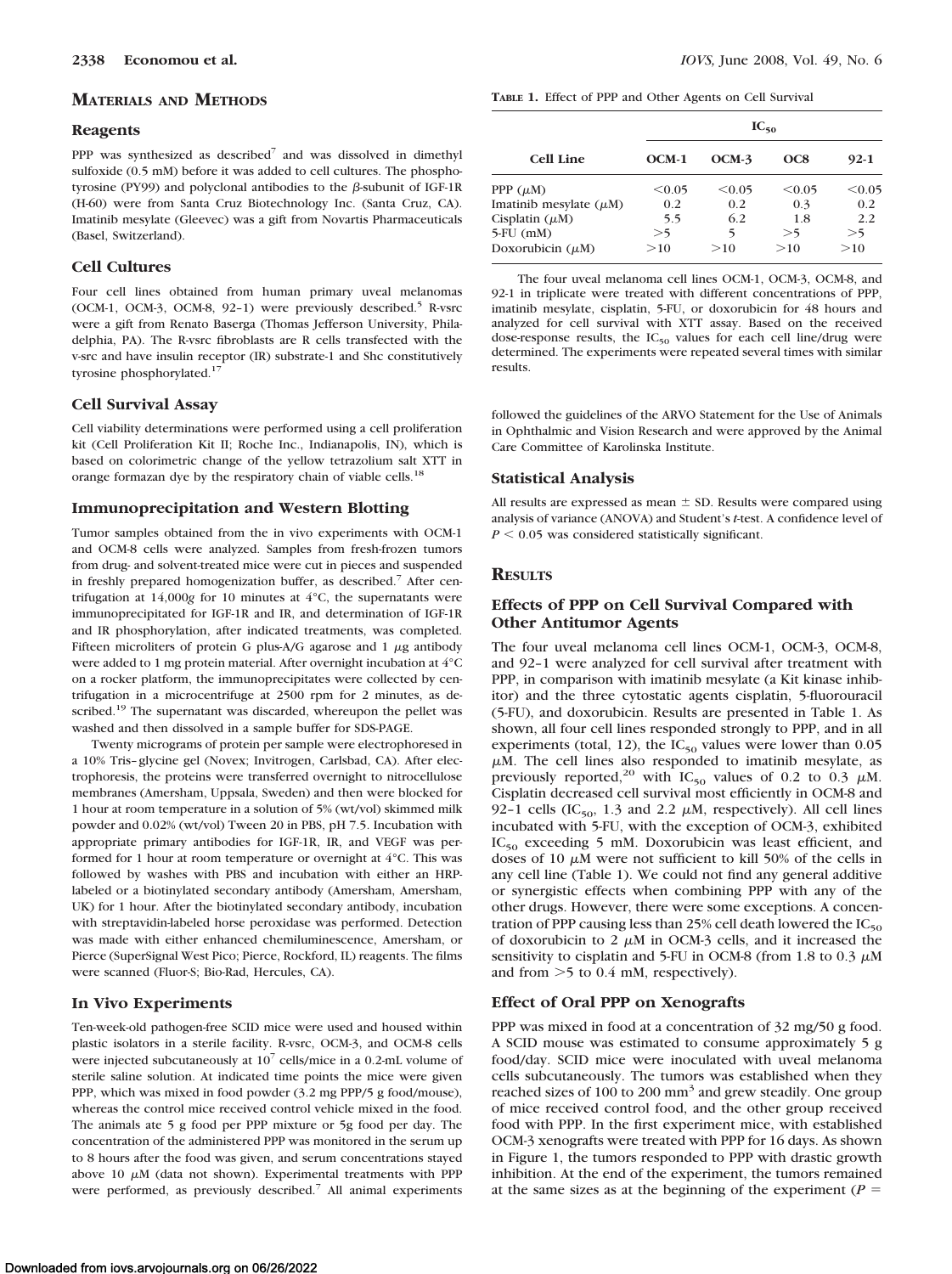# **MATERIALS AND METHODS**

#### **Reagents**

PPP was synthesized as described<sup>7</sup> and was dissolved in dimethyl sulfoxide (0.5 mM) before it was added to cell cultures. The phosphotyrosine (PY99) and polyclonal antibodies to the  $\beta$ -subunit of IGF-1R (H-60) were from Santa Cruz Biotechnology Inc. (Santa Cruz, CA). Imatinib mesylate (Gleevec) was a gift from Novartis Pharmaceuticals (Basel, Switzerland).

# **Cell Cultures**

Four cell lines obtained from human primary uveal melanomas (OCM-1, OCM-3, OCM-8, 92-1) were previously described.<sup>5</sup> R-vsrc were a gift from Renato Baserga (Thomas Jefferson University, Philadelphia, PA). The R-vsrc fibroblasts are R cells transfected with the v-src and have insulin receptor (IR) substrate-1 and Shc constitutively tyrosine phosphorylated.<sup>17</sup>

#### **Cell Survival Assay**

Cell viability determinations were performed using a cell proliferation kit (Cell Proliferation Kit II; Roche Inc., Indianapolis, IN), which is based on colorimetric change of the yellow tetrazolium salt XTT in orange formazan dye by the respiratory chain of viable cells.<sup>18</sup>

# **Immunoprecipitation and Western Blotting**

Tumor samples obtained from the in vivo experiments with OCM-1 and OCM-8 cells were analyzed. Samples from fresh-frozen tumors from drug- and solvent-treated mice were cut in pieces and suspended in freshly prepared homogenization buffer, as described.<sup>7</sup> After centrifugation at 14,000*g* for 10 minutes at 4°C, the supernatants were immunoprecipitated for IGF-1R and IR, and determination of IGF-1R and IR phosphorylation, after indicated treatments, was completed. Fifteen microliters of protein G plus-A/G agarose and 1  $\mu$ g antibody were added to 1 mg protein material. After overnight incubation at 4°C on a rocker platform, the immunoprecipitates were collected by centrifugation in a microcentrifuge at 2500 rpm for 2 minutes, as described.<sup>19</sup> The supernatant was discarded, whereupon the pellet was washed and then dissolved in a sample buffer for SDS-PAGE.

Twenty micrograms of protein per sample were electrophoresed in a 10% Tris– glycine gel (Novex; Invitrogen, Carlsbad, CA). After electrophoresis, the proteins were transferred overnight to nitrocellulose membranes (Amersham, Uppsala, Sweden) and then were blocked for 1 hour at room temperature in a solution of 5% (wt/vol) skimmed milk powder and 0.02% (wt/vol) Tween 20 in PBS, pH 7.5. Incubation with appropriate primary antibodies for IGF-1R, IR, and VEGF was performed for 1 hour at room temperature or overnight at 4°C. This was followed by washes with PBS and incubation with either an HRPlabeled or a biotinylated secondary antibody (Amersham, Amersham, UK) for 1 hour. After the biotinylated secondary antibody, incubation with streptavidin-labeled horse peroxidase was performed. Detection was made with either enhanced chemiluminescence, Amersham, or Pierce (SuperSignal West Pico; Pierce, Rockford, IL) reagents. The films were scanned (Fluor-S; Bio-Rad, Hercules, CA).

#### **In Vivo Experiments**

Ten-week-old pathogen-free SCID mice were used and housed within plastic isolators in a sterile facility. R-vsrc, OCM-3, and OCM-8 cells were injected subcutaneously at  $10<sup>7</sup>$  cells/mice in a 0.2-mL volume of sterile saline solution. At indicated time points the mice were given PPP, which was mixed in food powder (3.2 mg PPP/5 g food/mouse), whereas the control mice received control vehicle mixed in the food. The animals ate 5 g food per PPP mixture or 5g food per day. The concentration of the administered PPP was monitored in the serum up to 8 hours after the food was given, and serum concentrations stayed above 10  $\mu$ M (data not shown). Experimental treatments with PPP were performed, as previously described.<sup>7</sup> All animal experiments **TABLE 1.** Effect of PPP and Other Agents on Cell Survival

| <b>Cell Line</b>            | $\text{IC}_{50}$ |         |        |          |
|-----------------------------|------------------|---------|--------|----------|
|                             | $OCM-1$          | $OCM-3$ | OC8    | $92 - 1$ |
| PPP $(\mu M)$               | < 0.05           | < 0.05  | < 0.05 | < 0.05   |
| Imatinib mesylate $(\mu M)$ | 0.2              | 0.2     | 0.3    | 0.2      |
| Cisplatin $(\mu M)$         | 5.5              | 6.2     | 1.8    | 2.2      |
| $5$ -FU $(mM)$              | >5               | 5       | >5     | >5       |
| Doxorubicin $(\mu M)$       | >10              | >10     | >10    | >10      |

The four uveal melanoma cell lines OCM-1, OCM-3, OCM-8, and 92-1 in triplicate were treated with different concentrations of PPP, imatinib mesylate, cisplatin, 5-FU, or doxorubicin for 48 hours and analyzed for cell survival with XTT assay. Based on the received dose-response results, the  $IC_{50}$  values for each cell line/drug were determined. The experiments were repeated several times with similar results.

followed the guidelines of the ARVO Statement for the Use of Animals in Ophthalmic and Vision Research and were approved by the Animal Care Committee of Karolinska Institute.

#### **Statistical Analysis**

All results are expressed as mean  $\pm$  SD. Results were compared using analysis of variance (ANOVA) and Student's *t*-test. A confidence level of  $P \leq 0.05$  was considered statistically significant.

#### **RESULTS**

# **Effects of PPP on Cell Survival Compared with Other Antitumor Agents**

The four uveal melanoma cell lines OCM-1, OCM-3, OCM-8, and 92–1 were analyzed for cell survival after treatment with PPP, in comparison with imatinib mesylate (a Kit kinase inhibitor) and the three cytostatic agents cisplatin, 5-fluorouracil (5-FU), and doxorubicin. Results are presented in Table 1. As shown, all four cell lines responded strongly to PPP, and in all experiments (total, 12), the  $IC_{50}$  values were lower than 0.05  $\mu$ M. The cell lines also responded to imatinib mesylate, as previously reported,<sup>20</sup> with IC<sub>50</sub> values of 0.2 to 0.3  $\mu$ M. Cisplatin decreased cell survival most efficiently in OCM-8 and 92–1 cells (IC<sub>50</sub>, 1.3 and 2.2  $\mu$ M, respectively). All cell lines incubated with 5-FU, with the exception of OCM-3, exhibited IC<sub>50</sub> exceeding 5 mM. Doxorubicin was least efficient, and doses of 10  $\mu$ M were not sufficient to kill 50% of the cells in any cell line (Table 1). We could not find any general additive or synergistic effects when combining PPP with any of the other drugs. However, there were some exceptions. A concentration of PPP causing less than 25% cell death lowered the  $IC_{50}$ of doxorubicin to 2  $\mu$ M in OCM-3 cells, and it increased the sensitivity to cisplatin and 5-FU in OCM-8 (from 1.8 to 0.3  $\mu$ M and from  $>5$  to 0.4 mM, respectively).

# **Effect of Oral PPP on Xenografts**

PPP was mixed in food at a concentration of 32 mg/50 g food. A SCID mouse was estimated to consume approximately 5 g food/day. SCID mice were inoculated with uveal melanoma cells subcutaneously. The tumors was established when they reached sizes of 100 to 200 mm<sup>3</sup> and grew steadily. One group of mice received control food, and the other group received food with PPP. In the first experiment mice, with established OCM-3 xenografts were treated with PPP for 16 days. As shown in Figure 1, the tumors responded to PPP with drastic growth inhibition. At the end of the experiment, the tumors remained at the same sizes as at the beginning of the experiment ( $P =$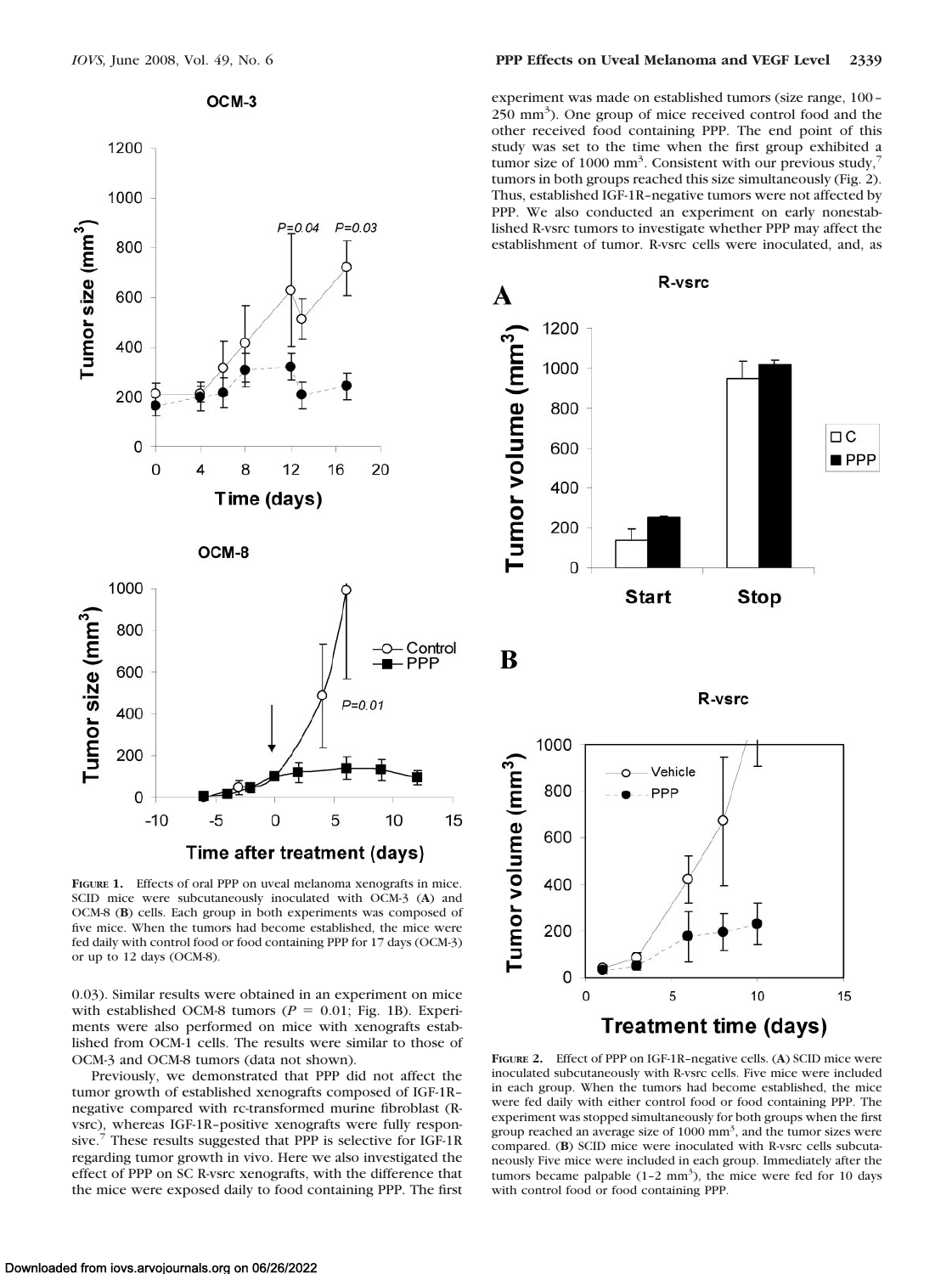



Time after treatment (days)

**FIGURE 1.** Effects of oral PPP on uveal melanoma xenografts in mice. SCID mice were subcutaneously inoculated with OCM-3 (**A**) and OCM-8 (**B**) cells. Each group in both experiments was composed of five mice. When the tumors had become established, the mice were fed daily with control food or food containing PPP for 17 days (OCM-3) or up to 12 days (OCM-8).

0.03). Similar results were obtained in an experiment on mice with established OCM-8 tumors ( $P = 0.01$ ; Fig. 1B). Experiments were also performed on mice with xenografts established from OCM-1 cells. The results were similar to those of OCM-3 and OCM-8 tumors (data not shown).

Previously, we demonstrated that PPP did not affect the tumor growth of established xenografts composed of IGF-1R– negative compared with rc-transformed murine fibroblast (Rvsrc), whereas IGF-1R–positive xenografts were fully responsive.<sup>7</sup> These results suggested that PPP is selective for IGF-1R regarding tumor growth in vivo. Here we also investigated the effect of PPP on SC R-vsrc xenografts, with the difference that the mice were exposed daily to food containing PPP. The first experiment was made on established tumors (size range, 100 – 250 mm3 ). One group of mice received control food and the other received food containing PPP. The end point of this study was set to the time when the first group exhibited a tumor size of 1000 mm<sup>3</sup>. Consistent with our previous study,<sup>7</sup> tumors in both groups reached this size simultaneously (Fig. 2). Thus, established IGF-1R–negative tumors were not affected by PPP. We also conducted an experiment on early nonestablished R-vsrc tumors to investigate whether PPP may affect the establishment of tumor. R-vsrc cells were inoculated, and, as



Treatment time (days)

**FIGURE 2.** Effect of PPP on IGF-1R–negative cells. (**A**) SCID mice were inoculated subcutaneously with R-vsrc cells. Five mice were included in each group. When the tumors had become established, the mice were fed daily with either control food or food containing PPP. The experiment was stopped simultaneously for both groups when the first group reached an average size of  $1000 \text{ mm}^3$ , and the tumor sizes were compared. (**B**) SCID mice were inoculated with R-vsrc cells subcutaneously Five mice were included in each group. Immediately after the tumors became palpable  $(1-2 \text{ mm}^3)$ , the mice were fed for 10 days with control food or food containing PPP.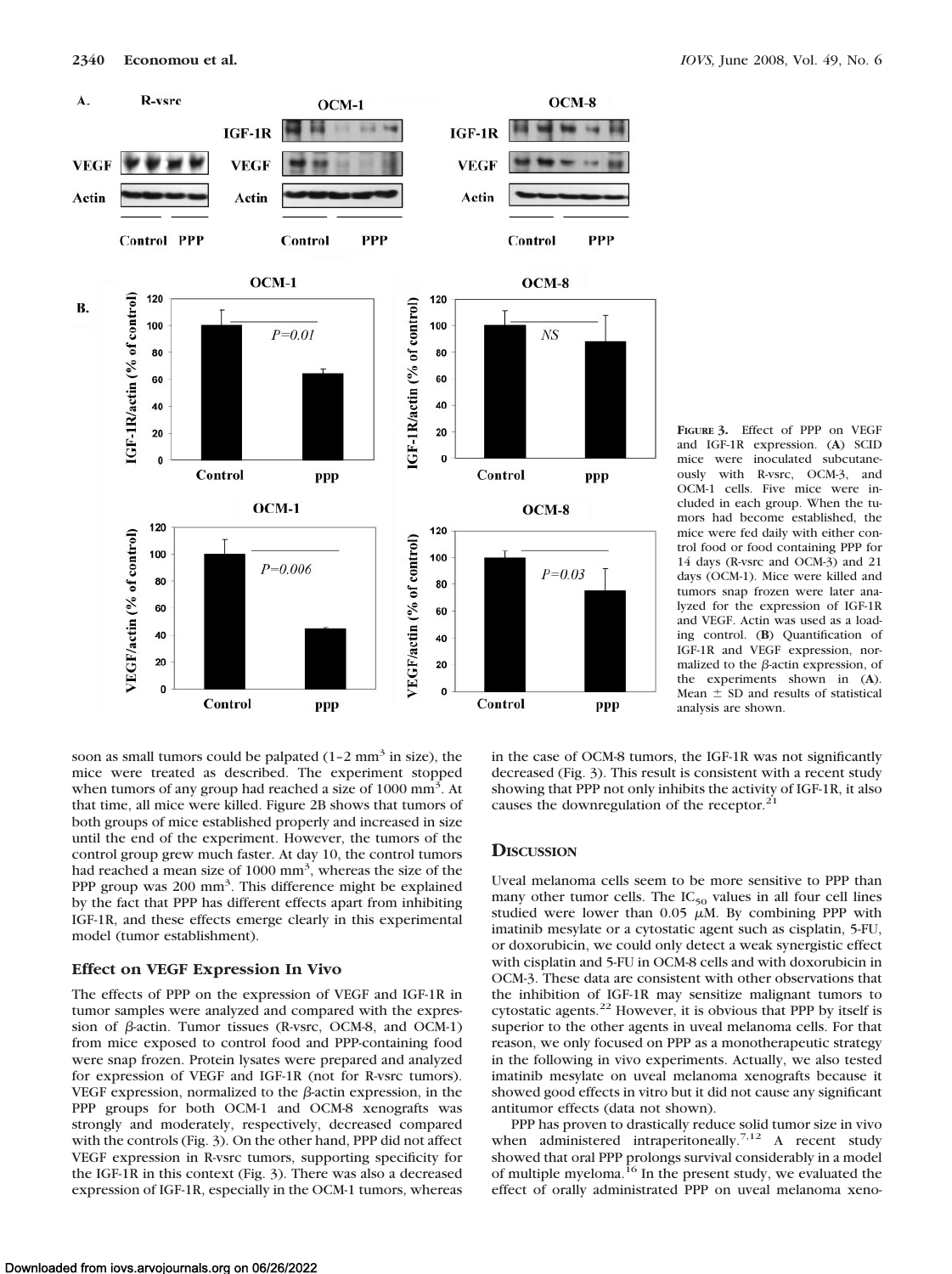

**FIGURE 3.** Effect of PPP on VEGF and IGF-1R expression. (**A**) SCID mice were inoculated subcutaneously with R-vsrc, OCM-3, and OCM-1 cells. Five mice were included in each group. When the tumors had become established, the mice were fed daily with either control food or food containing PPP for 14 days (R-vsrc and OCM-3) and 21 days (OCM-1). Mice were killed and tumors snap frozen were later analyzed for the expression of IGF-1R and VEGF. Actin was used as a loading control. (**B**) Quantification of IGF-1R and VEGF expression, normalized to the  $\beta$ -actin expression, of the experiments shown in (**A**). Mean  $\pm$  SD and results of statistical analysis are shown.

soon as small tumors could be palpated  $(1-2 \text{ mm}^3 \text{ in size})$ , the mice were treated as described. The experiment stopped when tumors of any group had reached a size of 1000 mm<sup>3</sup>. At that time, all mice were killed. Figure 2B shows that tumors of both groups of mice established properly and increased in size until the end of the experiment. However, the tumors of the control group grew much faster. At day 10, the control tumors had reached a mean size of 1000 mm<sup>3</sup>, whereas the size of the PPP group was 200 mm<sup>3</sup>. This difference might be explained by the fact that PPP has different effects apart from inhibiting IGF-1R, and these effects emerge clearly in this experimental model (tumor establishment).

#### **Effect on VEGF Expression In Vivo**

The effects of PPP on the expression of VEGF and IGF-1R in tumor samples were analyzed and compared with the expression of  $\beta$ -actin. Tumor tissues (R-vsrc, OCM-8, and OCM-1) from mice exposed to control food and PPP-containing food were snap frozen. Protein lysates were prepared and analyzed for expression of VEGF and IGF-1R (not for R-vsrc tumors). VEGF expression, normalized to the  $\beta$ -actin expression, in the PPP groups for both OCM-1 and OCM-8 xenografts was strongly and moderately, respectively, decreased compared with the controls (Fig. 3). On the other hand, PPP did not affect VEGF expression in R-vsrc tumors, supporting specificity for the IGF-1R in this context (Fig. 3). There was also a decreased expression of IGF-1R, especially in the OCM-1 tumors, whereas in the case of OCM-8 tumors, the IGF-1R was not significantly decreased (Fig. 3). This result is consistent with a recent study showing that PPP not only inhibits the activity of IGF-1R, it also causes the downregulation of the receptor.<sup>2</sup>

#### **DISCUSSION**

Uveal melanoma cells seem to be more sensitive to PPP than many other tumor cells. The  $IC_{50}$  values in all four cell lines studied were lower than 0.05  $\mu$ M. By combining PPP with imatinib mesylate or a cytostatic agent such as cisplatin, 5-FU, or doxorubicin, we could only detect a weak synergistic effect with cisplatin and 5-FU in OCM-8 cells and with doxorubicin in OCM-3. These data are consistent with other observations that the inhibition of IGF-1R may sensitize malignant tumors to cytostatic agents.<sup>22</sup> However, it is obvious that PPP by itself is superior to the other agents in uveal melanoma cells. For that reason, we only focused on PPP as a monotherapeutic strategy in the following in vivo experiments. Actually, we also tested imatinib mesylate on uveal melanoma xenografts because it showed good effects in vitro but it did not cause any significant antitumor effects (data not shown).

PPP has proven to drastically reduce solid tumor size in vivo when administered intraperitoneally.<sup>7,12</sup> A recent study showed that oral PPP prolongs survival considerably in a model<br>of multiple myeloma.<sup>16</sup> In the present study, we evaluated the effect of orally administrated PPP on uveal melanoma xeno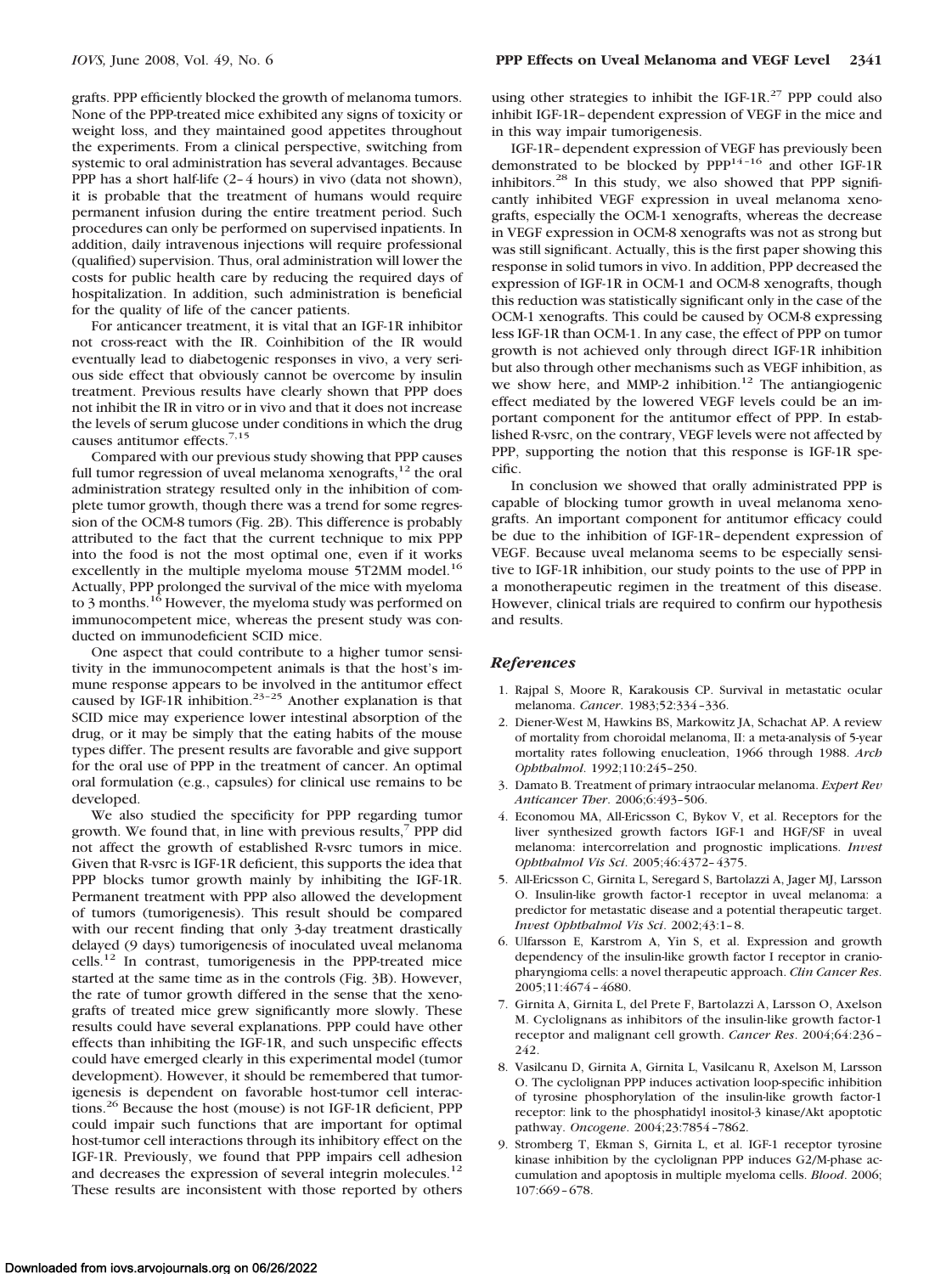grafts. PPP efficiently blocked the growth of melanoma tumors. None of the PPP-treated mice exhibited any signs of toxicity or weight loss, and they maintained good appetites throughout the experiments. From a clinical perspective, switching from systemic to oral administration has several advantages. Because PPP has a short half-life (2– 4 hours) in vivo (data not shown), it is probable that the treatment of humans would require permanent infusion during the entire treatment period. Such procedures can only be performed on supervised inpatients. In addition, daily intravenous injections will require professional (qualified) supervision. Thus, oral administration will lower the costs for public health care by reducing the required days of hospitalization. In addition, such administration is beneficial for the quality of life of the cancer patients.

For anticancer treatment, it is vital that an IGF-1R inhibitor not cross-react with the IR. Coinhibition of the IR would eventually lead to diabetogenic responses in vivo, a very serious side effect that obviously cannot be overcome by insulin treatment. Previous results have clearly shown that PPP does not inhibit the IR in vitro or in vivo and that it does not increase the levels of serum glucose under conditions in which the drug causes antitumor effects.<sup>7,15</sup>

Compared with our previous study showing that PPP causes full tumor regression of uveal melanoma xenografts, $12$  the oral administration strategy resulted only in the inhibition of complete tumor growth, though there was a trend for some regression of the OCM-8 tumors (Fig. 2B). This difference is probably attributed to the fact that the current technique to mix PPP into the food is not the most optimal one, even if it works excellently in the multiple myeloma mouse 5T2MM model.<sup>16</sup> Actually, PPP prolonged the survival of the mice with myeloma to 3 months.<sup>16</sup> However, the myeloma study was performed on immunocompetent mice, whereas the present study was conducted on immunodeficient SCID mice.

One aspect that could contribute to a higher tumor sensitivity in the immunocompetent animals is that the host's immune response appears to be involved in the antitumor effect caused by IGF-1R inhibition.<sup>23–25</sup> Another explanation is that SCID mice may experience lower intestinal absorption of the drug, or it may be simply that the eating habits of the mouse types differ. The present results are favorable and give support for the oral use of PPP in the treatment of cancer. An optimal oral formulation (e.g., capsules) for clinical use remains to be developed.

We also studied the specificity for PPP regarding tumor growth. We found that, in line with previous results, $7$  PPP did not affect the growth of established R-vsrc tumors in mice. Given that R-vsrc is IGF-1R deficient, this supports the idea that PPP blocks tumor growth mainly by inhibiting the IGF-1R. Permanent treatment with PPP also allowed the development of tumors (tumorigenesis). This result should be compared with our recent finding that only 3-day treatment drastically delayed (9 days) tumorigenesis of inoculated uveal melanoma cells.12 In contrast, tumorigenesis in the PPP-treated mice started at the same time as in the controls (Fig. 3B). However, the rate of tumor growth differed in the sense that the xenografts of treated mice grew significantly more slowly. These results could have several explanations. PPP could have other effects than inhibiting the IGF-1R, and such unspecific effects could have emerged clearly in this experimental model (tumor development). However, it should be remembered that tumorigenesis is dependent on favorable host-tumor cell interactions.26 Because the host (mouse) is not IGF-1R deficient, PPP could impair such functions that are important for optimal host-tumor cell interactions through its inhibitory effect on the IGF-1R. Previously, we found that PPP impairs cell adhesion and decreases the expression of several integrin molecules.<sup>12</sup> These results are inconsistent with those reported by others using other strategies to inhibit the IGF-1R. $^{27}$  PPP could also inhibit IGF-1R– dependent expression of VEGF in the mice and in this way impair tumorigenesis.

IGF-1R– dependent expression of VEGF has previously been demonstrated to be blocked by  $PPP^{14-16}$  and other IGF-1R inhibitors.<sup>28</sup> In this study, we also showed that PPP significantly inhibited VEGF expression in uveal melanoma xenografts, especially the OCM-1 xenografts, whereas the decrease in VEGF expression in OCM-8 xenografts was not as strong but was still significant. Actually, this is the first paper showing this response in solid tumors in vivo. In addition, PPP decreased the expression of IGF-1R in OCM-1 and OCM-8 xenografts, though this reduction was statistically significant only in the case of the OCM-1 xenografts. This could be caused by OCM-8 expressing less IGF-1R than OCM-1. In any case, the effect of PPP on tumor growth is not achieved only through direct IGF-1R inhibition but also through other mechanisms such as VEGF inhibition, as we show here, and MMP-2 inhibition.<sup>12</sup> The antiangiogenic effect mediated by the lowered VEGF levels could be an important component for the antitumor effect of PPP. In established R-vsrc, on the contrary, VEGF levels were not affected by PPP, supporting the notion that this response is IGF-1R specific.

In conclusion we showed that orally administrated PPP is capable of blocking tumor growth in uveal melanoma xenografts. An important component for antitumor efficacy could be due to the inhibition of IGF-1R– dependent expression of VEGF. Because uveal melanoma seems to be especially sensitive to IGF-1R inhibition, our study points to the use of PPP in a monotherapeutic regimen in the treatment of this disease. However, clinical trials are required to confirm our hypothesis and results.

#### *References*

- 1. Rajpal S, Moore R, Karakousis CP. Survival in metastatic ocular melanoma. *Cancer*. 1983;52:334 –336.
- 2. Diener-West M, Hawkins BS, Markowitz JA, Schachat AP. A review of mortality from choroidal melanoma, II: a meta-analysis of 5-year mortality rates following enucleation, 1966 through 1988. *Arch Ophthalmol*. 1992;110:245–250.
- 3. Damato B. Treatment of primary intraocular melanoma. *Expert Rev Anticancer Ther*. 2006;6:493–506.
- 4. Economou MA, All-Ericsson C, Bykov V, et al. Receptors for the liver synthesized growth factors IGF-1 and HGF/SF in uveal melanoma: intercorrelation and prognostic implications. *Invest Ophthalmol Vis Sci*. 2005;46:4372– 4375.
- 5. All-Ericsson C, Girnita L, Seregard S, Bartolazzi A, Jager MJ, Larsson O. Insulin-like growth factor-1 receptor in uveal melanoma: a predictor for metastatic disease and a potential therapeutic target. *Invest Ophthalmol Vis Sci*. 2002;43:1– 8.
- 6. Ulfarsson E, Karstrom A, Yin S, et al. Expression and growth dependency of the insulin-like growth factor I receptor in craniopharyngioma cells: a novel therapeutic approach. *Clin Cancer Res*. 2005;11:4674 – 4680.
- 7. Girnita A, Girnita L, del Prete F, Bartolazzi A, Larsson O, Axelson M. Cyclolignans as inhibitors of the insulin-like growth factor-1 receptor and malignant cell growth. *Cancer Res*. 2004;64:236 – 242.
- 8. Vasilcanu D, Girnita A, Girnita L, Vasilcanu R, Axelson M, Larsson O. The cyclolignan PPP induces activation loop-specific inhibition of tyrosine phosphorylation of the insulin-like growth factor-1 receptor: link to the phosphatidyl inositol-3 kinase/Akt apoptotic pathway. *Oncogene*. 2004;23:7854 –7862.
- 9. Stromberg T, Ekman S, Girnita L, et al. IGF-1 receptor tyrosine kinase inhibition by the cyclolignan PPP induces G2/M-phase accumulation and apoptosis in multiple myeloma cells. *Blood*. 2006; 107:669 – 678.